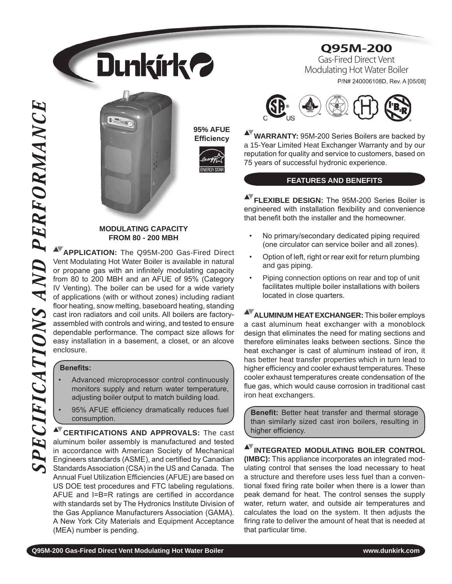





**95% AFUE Efficiency**



#### **Modulating capacity From 80 - 200 mbh**

**Application:** The Q95M-200 Gas-Fired Direct Vent Modulating Hot Water Boiler is available in natural or propane gas with an infinitely modulating capacity from 80 to 200 MBH and an AFUE of 95% (Category IV Venting). The boiler can be used for a wide variety of applications (with or without zones) including radiant floor heating, snow melting, baseboard heating, standing cast iron radiators and coil units. All boilers are factoryassembled with controls and wiring, and tested to ensure dependable performance. The compact size allows for easy installation in a basement, a closet, or an alcove enclosure.

#### **Benefits:**

- Advanced microprocessor control continuously monitors supply and return water temperature, adjusting boiler output to match building load.
- 95% AFUE efficiency dramatically reduces fuel consumption.

**CERTIFICATIONS AND Approvals:** The cast aluminum boiler assembly is manufactured and tested in accordance with American Society of Mechanical Engineers standards (ASME), and certified by Canadian Standards Association (CSA) in the US and Canada. The Annual Fuel Utilization Efficiencies (AFUE) are based on US DOE test procedures and FTC labeling regulations. AFUE and I=B=R ratings are certified in accordance with standards set by The Hydronics Institute Division of the Gas Appliance Manufacturers Association (GAMA). A New York City Materials and Equipment Acceptance (MEA) number is pending.

# **Q95M-200**

Gas-Fired Direct Vent Modulating Hot Water Boiler P/N# 240006108D, Rev. A [05/08]



**Warranty:** 95M-200 Series Boilers are backed by a 15-Year Limited Heat Exchanger Warranty and by our reputation for quality and service to customers, based on 75 years of successful hydronic experience.

## **Features and Benefits**

**AV FLEXIBLE DESIGN:** The 95M-200 Series Boiler is engineered with installation flexibility and convenience that benefit both the installer and the homeowner.

- No primary/secondary dedicated piping required (one circulator can service boiler and all zones).
- Option of left, right or rear exit for return plumbing and gas piping.
- Piping connection options on rear and top of unit facilitates multiple boiler installations with boilers located in close quarters.

**AV** ALUMINUM HEAT EXCHANGER: This boiler employs a cast aluminum heat exchanger with a monoblock design that eliminates the need for mating sections and therefore eliminates leaks between sections. Since the heat exchanger is cast of aluminum instead of iron, it has better heat transfer properties which in turn lead to higher efficiency and cooler exhaust temperatures. These cooler exhaust temperatures create condensation of the flue gas, which would cause corrosion in traditional cast iron heat exchangers.

**Benefit:** Better heat transfer and thermal storage than similarly sized cast iron boilers, resulting in higher efficiency.

**Integrated Modulating Boiler Control (IMBC):** This appliance incorporates an integrated modulating control that senses the load necessary to heat a structure and therefore uses less fuel than a conventional fixed firing rate boiler when there is a lower than peak demand for heat. The control senses the supply water, return water, and outside air temperatures and calculates the load on the system. It then adjusts the firing rate to deliver the amount of heat that is needed at that particular time.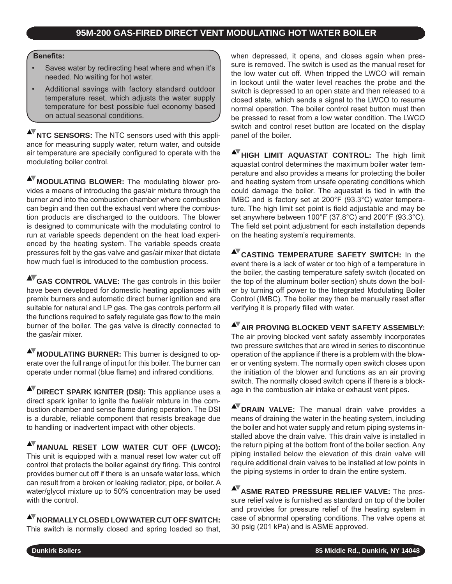#### **Benefits:**

- Saves water by redirecting heat where and when it's needed. No waiting for hot water.
- Additional savings with factory standard outdoor temperature reset, which adjusts the water supply temperature for best possible fuel economy based on actual seasonal conditions.

**NTC SENSORS:** The NTC sensors used with this appliance for measuring supply water, return water, and outside air temperature are specially configured to operate with the modulating boiler control.

**MODULATING BLOWER:** The modulating blower provides a means of introducing the gas/air mixture through the burner and into the combustion chamber where combustion can begin and then out the exhaust vent where the combustion products are discharged to the outdoors. The blower is designed to communicate with the modulating control to run at variable speeds dependent on the heat load experienced by the heating system. The variable speeds create pressures felt by the gas valve and gas/air mixer that dictate how much fuel is introduced to the combustion process.

**Gas Control Valve:** The gas controls in this boiler have been developed for domestic heating appliances with premix burners and automatic direct burner ignition and are suitable for natural and LP gas. The gas controls perform all the functions required to safely regulate gas flow to the main burner of the boiler. The gas valve is directly connected to the gas/air mixer.

**MODULATING BURNER:** This burner is designed to operate over the full range of input for this boiler. The burner can operate under normal (blue flame) and infrared conditions.

**AV** DIRECT SPARK IGNITER (DSI): This appliance uses a direct spark igniter to ignite the fuel/air mixture in the combustion chamber and sense flame during operation. The DSI is a durable, reliable component that resists breakage due to handling or inadvertent impact with other objects.

**MANUAL RESET Low Water Cut Off (LWCO):** This unit is equipped with a manual reset low water cut off control that protects the boiler against dry firing. This control provides burner cut off if there is an unsafe water loss, which can result from a broken or leaking radiator, pipe, or boiler. A water/glycol mixture up to 50% concentration may be used with the control.

**normally closed Low Water Cut Off switch:** This switch is normally closed and spring loaded so that, when depressed, it opens, and closes again when pressure is removed. The switch is used as the manual reset for the low water cut off. When tripped the LWCO will remain in lockout until the water level reaches the probe and the switch is depressed to an open state and then released to a closed state, which sends a signal to the LWCO to resume normal operation. The boiler control reset button must then be pressed to reset from a low water condition. The LWCO switch and control reset button are located on the display panel of the boiler.

**High Limit Aquastat Control:** The high limit aquastat control determines the maximum boiler water temperature and also provides a means for protecting the boiler and heating system from unsafe operating conditions which could damage the boiler. The aquastat is tied in with the IMBC and is factory set at 200°F (93.3°C) water temperature. The high limit set point is field adjustable and may be set anywhere between 100°F (37.8°C) and 200°F (93.3°C). The field set point adjustment for each installation depends on the heating system's requirements.

**Casting Temperature Safety Switch:** In the event there is a lack of water or too high of a temperature in the boiler, the casting temperature safety switch (located on the top of the aluminum boiler section) shuts down the boiler by turning off power to the Integrated Modulating Boiler Control (IMBC). The boiler may then be manually reset after verifying it is properly filled with water.

**AV AIR PROVING BLOCKED VENT SAFETY ASSEMBLY:** The air proving blocked vent safety assembly incorporates two pressure switches that are wired in series to discontinue operation of the appliance if there is a problem with the blower or venting system. The normally open switch closes upon the initiation of the blower and functions as an air proving switch. The normally closed switch opens if there is a blockage in the combustion air intake or exhaust vent pipes.

**AV** DRAIN VALVE: The manual drain valve provides a means of draining the water in the heating system, including the boiler and hot water supply and return piping systems installed above the drain valve. This drain valve is installed in the return piping at the bottom front of the boiler section. Any piping installed below the elevation of this drain valve will require additional drain valves to be installed at low points in the piping systems in order to drain the entire system.

**AV ASME RATED PRESSURE RELIEF VALVE:** The pressure relief valve is furnished as standard on top of the boiler and provides for pressure relief of the heating system in case of abnormal operating conditions. The valve opens at 30 psig (201 kPa) and is ASME approved.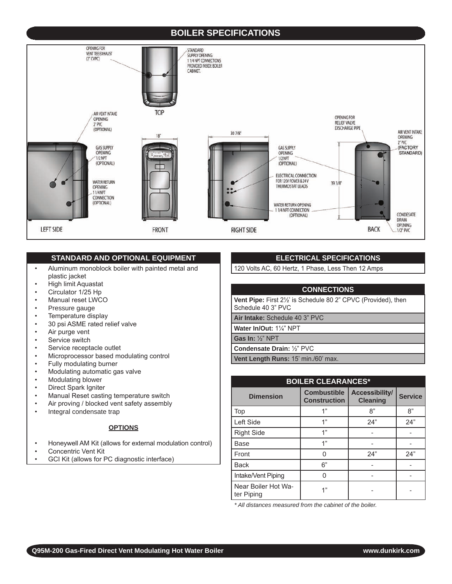# **Boiler specifications**



#### **Standard and optional Equipment**

- Aluminum monoblock boiler with painted metal and plastic jacket
- High limit Aquastat
- Circulator 1/25 Hp
- Manual reset LWCO
- Pressure gauge
- Temperature display
- 30 psi ASME rated relief valve
- Air purge vent
- Service switch
- Service receptacle outlet
- Microprocessor based modulating control
- Fully modulating burner
- Modulating automatic gas valve
- Modulating blower
- Direct Spark Igniter
- Manual Reset casting temperature switch
- Air proving / blocked vent safety assembly
- Integral condensate trap

#### **OPTIONS**

- Honeywell AM Kit (allows for external modulation control)
- Concentric Vent Kit
- GCI Kit (allows for PC diagnostic interface)

### **ELECTRICAL SPECIFICATIONS**

120 Volts AC, 60 Hertz, 1 Phase, Less Then 12 Amps

#### **Connections**

**Vent Pipe:** First 2<sup>1</sup>/<sub>2</sub>' is Schedule 80 2" CPVC (Provided), then schedule 40 3" PVC

**Air Intake:** schedule 40 3" PVC

**Water In/Out:** 1¼" NPT

**Gas In:** ½" NPT

**Condensate Drain:** ½" PVC

Vent Length Runs: 15' min./60' max.

| <b>BOILER CLEARANCES*</b>         |                                           |                                   |                |  |  |
|-----------------------------------|-------------------------------------------|-----------------------------------|----------------|--|--|
| <b>Dimension</b>                  | <b>Combustible</b><br><b>Construction</b> | Accessibility/<br><b>Cleaning</b> | <b>Service</b> |  |  |
| Top                               | 1"                                        | 8"                                | 8"             |  |  |
| Left Side                         | 1"                                        | 24"                               | 24"            |  |  |
| <b>Right Side</b>                 | 1"                                        |                                   |                |  |  |
| Base                              | 1"                                        |                                   |                |  |  |
| Front                             | ∩                                         | 24"                               | 24"            |  |  |
| <b>Back</b>                       | 6"                                        |                                   |                |  |  |
| Intake/Vent Piping                |                                           |                                   |                |  |  |
| Near Boiler Hot Wa-<br>ter Piping | 1"                                        |                                   |                |  |  |

*\* All distances measured from the cabinet of the boiler.*